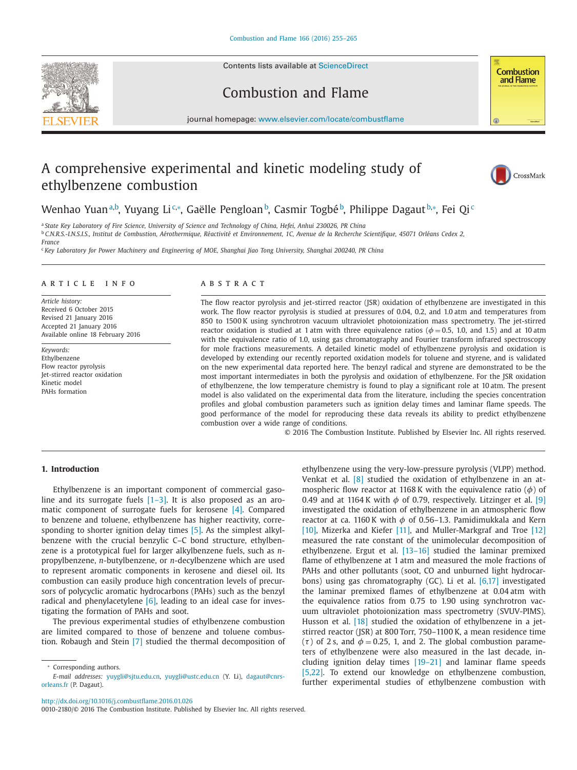Contents lists available at [ScienceDirect](http://www.ScienceDirect.com)





## Combustion and Flame

journal homepage: [www.elsevier.com/locate/combustflame](http://www.elsevier.com/locate/combustflame)

## A comprehensive experimental and kinetic modeling study of ethylbenzene combustion



Wenhao Yuan<sup>a,b</sup>, Yuyang Li&\*, Gaëlle Pengloan<sup>b</sup>, Casmir Togbé<sup>b</sup>, Philippe Dagaut<sup>b,</sup>\*, Fei Qi<sup>c</sup>

<sup>a</sup> State Key Laboratory of Fire Science, University of Science and Technology of China, Hefei, Anhui 230026, PR China <sup>b</sup> C.N.R.S.-I.N.S.I.S., Institut de Combustion, Aérothermique, Réactivité et Environnement, 1C, Avenue de la Recherche Scientifique, 45071 Orléans Cedex 2,

*France* <sup>c</sup> Key Laboratory for Power Machinery and Engineering of MOE, Shanghai Jiao Tong University, Shanghai 200240, PR China

#### ARTICLE INFO

*Article history:* Received 6 October 2015 Revised 21 January 2016 Accepted 21 January 2016 Available online 18 February 2016

*Keywords:* Ethylbenzene Flow reactor pyrolysis Jet-stirred reactor oxidation Kinetic model PAHs formation

#### A B S T R A C T

The flow reactor pyrolysis and jet-stirred reactor (JSR) oxidation of ethylbenzene are investigated in this work. The flow reactor pyrolysis is studied at pressures of 0.04, 0.2, and 1.0 atm and temperatures from 850 to 1500 K using synchrotron vacuum ultraviolet photoionization mass spectrometry. The jet-stirred reactor oxidation is studied at 1 atm with three equivalence ratios ( $\phi = 0.5$ , 1.0, and 1.5) and at 10 atm with the equivalence ratio of 1.0, using gas chromatography and Fourier transform infrared spectroscopy for mole fractions measurements. A detailed kinetic model of ethylbenzene pyrolysis and oxidation is developed by extending our recently reported oxidation models for toluene and styrene, and is validated on the new experimental data reported here. The benzyl radical and styrene are demonstrated to be the most important intermediates in both the pyrolysis and oxidation of ethylbenzene. For the JSR oxidation of ethylbenzene, the low temperature chemistry is found to play a significant role at 10 atm. The present model is also validated on the experimental data from the literature, including the species concentration profiles and global combustion parameters such as ignition delay times and laminar flame speeds. The good performance of the model for reproducing these data reveals its ability to predict ethylbenzene combustion over a wide range of conditions.

© 2016 The Combustion Institute. Published by Elsevier Inc. All rights reserved.

ethylbenzene using the very-low-pressure pyrolysis (VLPP) method.

#### **1. Introduction**

Ethylbenzene is an important component of commercial gasoline and its surrogate fuels [\[1–3\].](#page--1-0) It is also proposed as an aromatic component of surrogate fuels for kerosene [\[4\].](#page--1-0) Compared to benzene and toluene, ethylbenzene has higher reactivity, corresponding to shorter ignition delay times [\[5\].](#page--1-0) As the simplest alkylbenzene with the crucial benzylic C–C bond structure, ethylbenzene is a prototypical fuel for larger alkylbenzene fuels, such as *n*propylbenzene, *n*-butylbenzene, or *n*-decylbenzene which are used to represent aromatic components in kerosene and diesel oil. Its combustion can easily produce high concentration levels of precursors of polycyclic aromatic hydrocarbons (PAHs) such as the benzyl radical and phenylacetylene  $[6]$ , leading to an ideal case for investigating the formation of PAHs and soot.

The previous experimental studies of ethylbenzene combustion are limited compared to those of benzene and toluene combustion. Robaugh and Stein [\[7\]](#page--1-0) studied the thermal decomposition of Venkat et al. [\[8\]](#page--1-0) studied the oxidation of ethylbenzene in an atmospheric flow reactor at 1168 K with the equivalence ratio ( $\phi$ ) of 0.49 and at 1164 K with  $\phi$  of 0.79, respectively. Litzinger et al. [\[9\]](#page--1-0) investigated the oxidation of ethylbenzene in an atmospheric flow reactor at ca. 1160 K with  $\phi$  of 0.56–1.3. Pamidimukkala and Kern [\[10\],](#page--1-0) Mizerka and Kiefer [\[11\],](#page--1-0) and Muller-Markgraf and Troe [\[12\]](#page--1-0) measured the rate constant of the unimolecular decomposition of ethylbenzene. Ergut et al. [\[13–16\]](#page--1-0) studied the laminar premixed flame of ethylbenzene at 1 atm and measured the mole fractions of PAHs and other pollutants (soot, CO and unburned light hydrocarbons) using gas chromatography (GC). Li et al. [\[6,17\]](#page--1-0) investigated the laminar premixed flames of ethylbenzene at 0.04 atm with the equivalence ratios from 0.75 to 1.90 using synchrotron vacuum ultraviolet photoionization mass spectrometry (SVUV-PIMS). Husson et al. [\[18\]](#page--1-0) studied the oxidation of ethylbenzene in a jetstirred reactor (JSR) at 800 Torr, 750–1100 K, a mean residence time ( $\tau$ ) of 2 s, and  $\phi = 0.25$ , 1, and 2. The global combustion parameters of ethylbenzene were also measured in the last decade, including ignition delay times [\[19–21\]](#page--1-0) and laminar flame speeds [\[5,22\].](#page--1-0) To extend our knowledge on ethylbenzene combustion, further experimental studies of ethylbenzene combustion with

<http://dx.doi.org/10.1016/j.combustflame.2016.01.026>

0010-2180/© 2016 The Combustion Institute. Published by Elsevier Inc. All rights reserved.

Corresponding authors.

*E-mail addresses:* [yuygli@sjtu.edu.cn](mailto:yuygli@sjtu.edu.cn)[,](mailto:dagaut@cnrs-orleans.fr) [yuygli@ustc.edu.cn](mailto:yuygli@ustc.edu.cn) (Y. Li), dagaut@cnrsorleans.fr (P. Dagaut).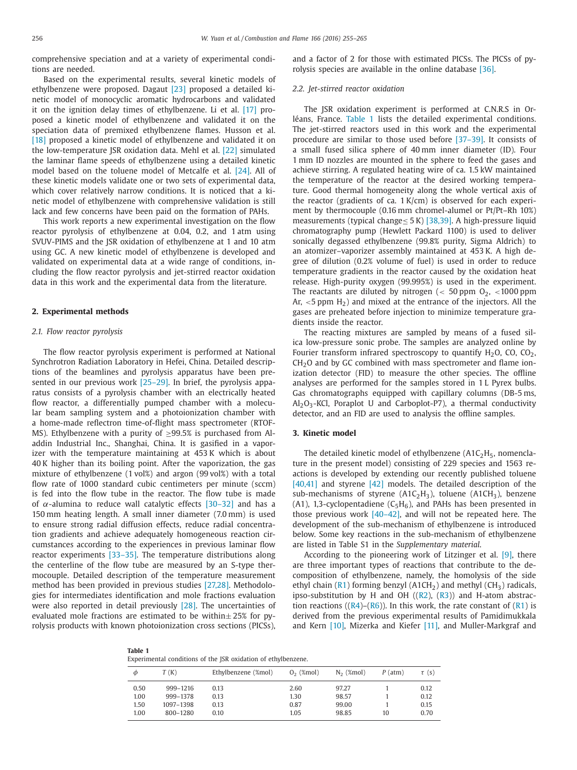comprehensive speciation and at a variety of experimental conditions are needed.

Based on the experimental results, several kinetic models of ethylbenzene were proposed. Dagaut [\[23\]](#page--1-0) proposed a detailed kinetic model of monocyclic aromatic hydrocarbons and validated it on the ignition delay times of ethylbenzene. Li et al. [\[17\]](#page--1-0) proposed a kinetic model of ethylbenzene and validated it on the speciation data of premixed ethylbenzene flames. Husson et al. [\[18\]](#page--1-0) proposed a kinetic model of ethylbenzene and validated it on the low-temperature JSR oxidation data. Mehl et al. [\[22\]](#page--1-0) simulated the laminar flame speeds of ethylbenzene using a detailed kinetic model based on the toluene model of Metcalfe et al. [\[24\].](#page--1-0) All of these kinetic models validate one or two sets of experimental data, which cover relatively narrow conditions. It is noticed that a kinetic model of ethylbenzene with comprehensive validation is still lack and few concerns have been paid on the formation of PAHs.

This work reports a new experimental investigation on the flow reactor pyrolysis of ethylbenzene at 0.04, 0.2, and 1 atm using SVUV-PIMS and the JSR oxidation of ethylbenzene at 1 and 10 atm using GC. A new kinetic model of ethylbenzene is developed and validated on experimental data at a wide range of conditions, including the flow reactor pyrolysis and jet-stirred reactor oxidation data in this work and the experimental data from the literature.

#### **2. Experimental methods**

#### *2.1. Flow reactor pyrolysis*

The flow reactor pyrolysis experiment is performed at National Synchrotron Radiation Laboratory in Hefei, China. Detailed descriptions of the beamlines and pyrolysis apparatus have been presented in our previous work [\[25–29\].](#page--1-0) In brief, the pyrolysis apparatus consists of a pyrolysis chamber with an electrically heated flow reactor, a differentially pumped chamber with a molecular beam sampling system and a photoionization chamber with a home-made reflectron time-of-flight mass spectrometer (RTOF-MS). Ethylbenzene with a purity of  $\geq$ 99.5% is purchased from Aladdin Industrial Inc., Shanghai, China. It is gasified in a vaporizer with the temperature maintaining at 453 K which is about 40 K higher than its boiling point. After the vaporization, the gas mixture of ethylbenzene (1 vol%) and argon (99 vol%) with a total flow rate of 1000 standard cubic centimeters per minute (sccm) is fed into the flow tube in the reactor. The flow tube is made of  $\alpha$ -alumina to reduce wall catalytic effects [\[30–32\]](#page--1-0) and has a 150 mm heating length. A small inner diameter (7.0 mm) is used to ensure strong radial diffusion effects, reduce radial concentration gradients and achieve adequately homogeneous reaction circumstances according to the experiences in previous laminar flow reactor experiments [\[33–35\].](#page--1-0) The temperature distributions along the centerline of the flow tube are measured by an S-type thermocouple. Detailed description of the temperature measurement method has been provided in previous studies [\[27,28\].](#page--1-0) Methodologies for intermediates identification and mole fractions evaluation were also reported in detail previously [\[28\].](#page--1-0) The uncertainties of evaluated mole fractions are estimated to be within $\pm$  25% for pyrolysis products with known photoionization cross sections (PICSs), and a factor of 2 for those with estimated PICSs. The PICSs of pyrolysis species are available in the online database [\[36\].](#page--1-0)

#### *2.2. Jet-stirred reactor oxidation*

The JSR oxidation experiment is performed at C.N.R.S in Orléans, France. Table 1 lists the detailed experimental conditions. The jet-stirred reactors used in this work and the experimental procedure are similar to those used before [\[37–39\].](#page--1-0) It consists of a small fused silica sphere of 40 mm inner diameter (ID). Four 1 mm ID nozzles are mounted in the sphere to feed the gases and achieve stirring. A regulated heating wire of ca. 1.5 kW maintained the temperature of the reactor at the desired working temperature. Good thermal homogeneity along the whole vertical axis of the reactor (gradients of ca. 1 K/cm) is observed for each experiment by thermocouple (0.16 mm chromel-alumel or Pt/Pt–Rh 10%) measurements (typical change≤ 5 K) [\[38,39\].](#page--1-0) A high-pressure liquid chromatography pump (Hewlett Packard 1100) is used to deliver sonically degassed ethylbenzene (99.8% purity, Sigma Aldrich) to an atomizer–vaporizer assembly maintained at 453 K. A high degree of dilution (0.2% volume of fuel) is used in order to reduce temperature gradients in the reactor caused by the oxidation heat release. High-purity oxygen (99.995%) is used in the experiment. The reactants are diluted by nitrogen ( $<$  50 ppm O<sub>2</sub>,  $<$ 1000 ppm Ar,  $\lt$ 5 ppm H<sub>2</sub>) and mixed at the entrance of the injectors. All the gases are preheated before injection to minimize temperature gradients inside the reactor.

The reacting mixtures are sampled by means of a fused silica low-pressure sonic probe. The samples are analyzed online by Fourier transform infrared spectroscopy to quantify  $H_2O$ ,  $CO$ ,  $CO_2$ , CH<sub>2</sub>O and by GC combined with mass spectrometer and flame ionization detector (FID) to measure the other species. The offline analyses are performed for the samples stored in 1 L Pyrex bulbs. Gas chromatographs equipped with capillary columns (DB-5 ms,  $Al_2O_3$ -KCl, Poraplot U and Carboplot-P7), a thermal conductivity detector, and an FID are used to analysis the offline samples.

### **3. Kinetic model**

The detailed kinetic model of ethylbenzene ( $A1C<sub>2</sub>H<sub>5</sub>$ , nomenclature in the present model) consisting of 229 species and 1563 reactions is developed by extending our recently published toluene [\[40,41\]](#page--1-0) and styrene [\[42\]](#page--1-0) models. The detailed description of the sub-mechanisms of styrene  $(A1C<sub>2</sub>H<sub>3</sub>)$ , toluene  $(A1CH<sub>3</sub>)$ , benzene (A1), 1,3-cyclopentadiene ( $C_5H_6$ ), and PAHs has been presented in those previous work  $[40-42]$ , and will not be repeated here. The development of the sub-mechanism of ethylbenzene is introduced below. Some key reactions in the sub-mechanism of ethylbenzene are listed in Table S1 in the *Supplementary material*.

According to the pioneering work of Litzinger et al. [\[9\],](#page--1-0) there are three important types of reactions that contribute to the decomposition of ethylbenzene, namely, the homolysis of the side ethyl chain ( $R1$ ) forming benzyl ( $A1CH<sub>2</sub>$ ) and methyl ( $CH<sub>3</sub>$ ) radicals, ipso-substitution by H and OH  $((R2), (R3))$  $((R2), (R3))$  $((R2), (R3))$  $((R2), (R3))$  $((R2), (R3))$  and H-atom abstraction reactions ( $(R4)$ – $(R6)$ ). In this work, the rate constant of  $(R1)$  is derived from the previous experimental results of Pamidimukkala and Kern [\[10\],](#page--1-0) Mizerka and Kiefer [\[11\],](#page--1-0) and Muller-Markgraf and

**Table 1** Experimental conditions of the JSR oxidation of ethylbenzene.

| Φ    | T(K)      | Ethylbenzene (%mol) | $O_2$ (%mol) | $N_2$ (%mol) | $P$ (atm) | $\tau$ (s) |
|------|-----------|---------------------|--------------|--------------|-----------|------------|
| 0.50 | 999-1216  | 0.13                | 2.60         | 97.27        |           | 0.12       |
| 1.00 | 999-1378  | 0.13                | 1.30         | 98.57        |           | 0.12       |
| 1.50 | 1097-1398 | 0.13                | 0.87         | 99.00        |           | 0.15       |
| 1.00 | 800-1280  | 0.10                | 1.05         | 98.85        | 10        | 0.70       |
|      |           |                     |              |              |           |            |